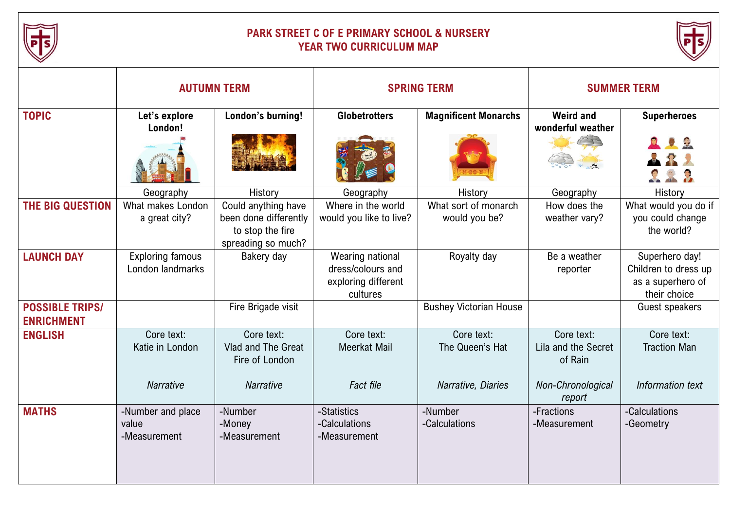

## **PARK STREET C OF E PRIMARY SCHOOL & NURSERY YEAR TWO CURRICULUM MAP**



|                                             | <b>AUTUMN TERM</b>                                |                                                                                        | <b>SPRING TERM</b>                                                       |                                                     | <b>SUMMER TERM</b>                                                |                                                                             |
|---------------------------------------------|---------------------------------------------------|----------------------------------------------------------------------------------------|--------------------------------------------------------------------------|-----------------------------------------------------|-------------------------------------------------------------------|-----------------------------------------------------------------------------|
| <b>TOPIC</b>                                | Let's explore<br>London!                          | London's burning!                                                                      | <b>Globetrotters</b>                                                     | <b>Magnificent Monarchs</b>                         | <b>Weird and</b><br>wonderful weather                             | <b>Superheroes</b><br>$\mathcal{R}$                                         |
|                                             | Geography                                         | History                                                                                | Geography                                                                | History                                             | Geography                                                         | History                                                                     |
| THE BIG QUESTION                            | What makes London<br>a great city?                | Could anything have<br>been done differently<br>to stop the fire<br>spreading so much? | Where in the world<br>would you like to live?                            | What sort of monarch<br>would you be?               | How does the<br>weather vary?                                     | What would you do if<br>you could change<br>the world?                      |
| <b>LAUNCH DAY</b>                           | <b>Exploring famous</b><br>London landmarks       | Bakery day                                                                             | Wearing national<br>dress/colours and<br>exploring different<br>cultures | Royalty day                                         | Be a weather<br>reporter                                          | Superhero day!<br>Children to dress up<br>as a superhero of<br>their choice |
| <b>POSSIBLE TRIPS/</b><br><b>ENRICHMENT</b> |                                                   | Fire Brigade visit                                                                     |                                                                          | <b>Bushey Victorian House</b>                       |                                                                   | Guest speakers                                                              |
| <b>ENGLISH</b>                              | Core text:<br>Katie in London<br><b>Narrative</b> | Core text:<br>Vlad and The Great<br>Fire of London<br><b>Narrative</b>                 | Core text:<br>Meerkat Mail<br><b>Fact file</b>                           | Core text:<br>The Queen's Hat<br>Narrative, Diaries | Core text:<br>Lila and the Secret<br>of Rain<br>Non-Chronological | Core text:<br><b>Traction Man</b><br>Information text                       |
| <b>MATHS</b>                                | -Number and place<br>value<br>-Measurement        | -Number<br>-Money<br>-Measurement                                                      | -Statistics<br>-Calculations<br>-Measurement                             | -Number<br>-Calculations                            | report<br>-Fractions<br>-Measurement                              | -Calculations<br>-Geometry                                                  |